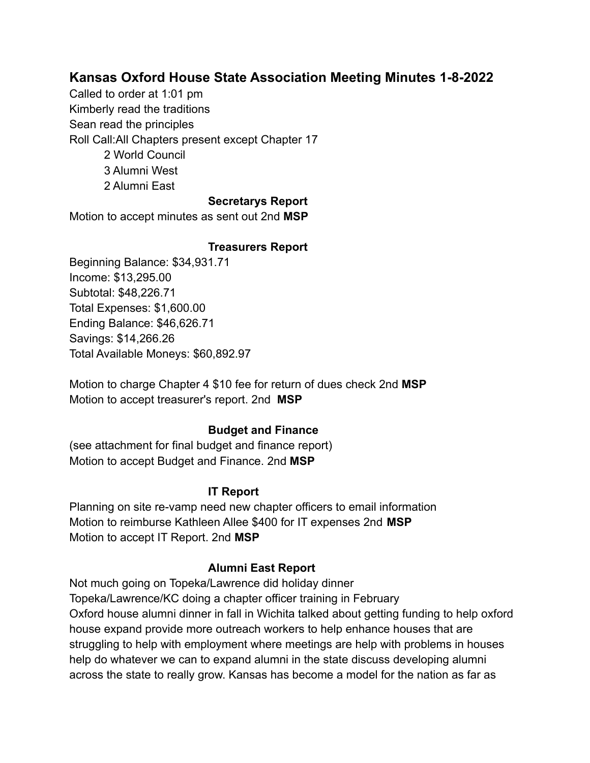# **Kansas Oxford House State Association Meeting Minutes 1-8-2022**

Called to order at 1:01 pm Kimberly read the traditions Sean read the principles Roll Call:All Chapters present except Chapter 17 2 World Council 3 Alumni West 2 Alumni East

## **Secretarys Report**

Motion to accept minutes as sent out 2nd **MSP**

#### **Treasurers Report**

Beginning Balance: \$34,931.71 Income: \$13,295.00 Subtotal: \$48,226.71 Total Expenses: \$1,600.00 Ending Balance: \$46,626.71 Savings: \$14,266.26 Total Available Moneys: \$60,892.97

Motion to charge Chapter 4 \$10 fee for return of dues check 2nd **MSP** Motion to accept treasurer's report. 2nd **MSP**

#### **Budget and Finance**

(see attachment for final budget and finance report) Motion to accept Budget and Finance. 2nd **MSP**

#### **IT Report**

Planning on site re-vamp need new chapter officers to email information Motion to reimburse Kathleen Allee \$400 for IT expenses 2nd **MSP** Motion to accept IT Report. 2nd **MSP**

#### **Alumni East Report**

Not much going on Topeka/Lawrence did holiday dinner Topeka/Lawrence/KC doing a chapter officer training in February Oxford house alumni dinner in fall in Wichita talked about getting funding to help oxford house expand provide more outreach workers to help enhance houses that are struggling to help with employment where meetings are help with problems in houses help do whatever we can to expand alumni in the state discuss developing alumni across the state to really grow. Kansas has become a model for the nation as far as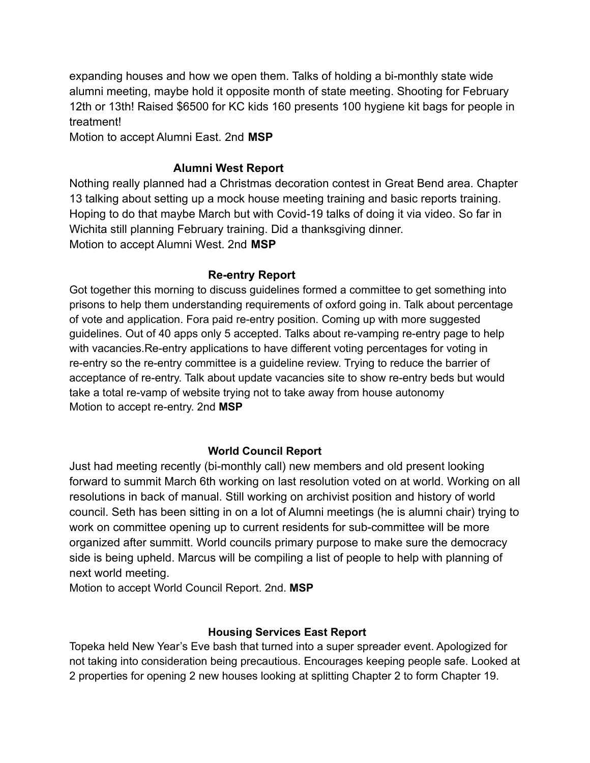expanding houses and how we open them. Talks of holding a bi-monthly state wide alumni meeting, maybe hold it opposite month of state meeting. Shooting for February 12th or 13th! Raised \$6500 for KC kids 160 presents 100 hygiene kit bags for people in treatment!

Motion to accept Alumni East. 2nd **MSP**

## **Alumni West Report**

Nothing really planned had a Christmas decoration contest in Great Bend area. Chapter 13 talking about setting up a mock house meeting training and basic reports training. Hoping to do that maybe March but with Covid-19 talks of doing it via video. So far in Wichita still planning February training. Did a thanksgiving dinner. Motion to accept Alumni West. 2nd **MSP**

## **Re-entry Report**

Got together this morning to discuss guidelines formed a committee to get something into prisons to help them understanding requirements of oxford going in. Talk about percentage of vote and application. Fora paid re-entry position. Coming up with more suggested guidelines. Out of 40 apps only 5 accepted. Talks about re-vamping re-entry page to help with vacancies.Re-entry applications to have different voting percentages for voting in re-entry so the re-entry committee is a guideline review. Trying to reduce the barrier of acceptance of re-entry. Talk about update vacancies site to show re-entry beds but would take a total re-vamp of website trying not to take away from house autonomy Motion to accept re-entry. 2nd **MSP**

## **World Council Report**

Just had meeting recently (bi-monthly call) new members and old present looking forward to summit March 6th working on last resolution voted on at world. Working on all resolutions in back of manual. Still working on archivist position and history of world council. Seth has been sitting in on a lot of Alumni meetings (he is alumni chair) trying to work on committee opening up to current residents for sub-committee will be more organized after summitt. World councils primary purpose to make sure the democracy side is being upheld. Marcus will be compiling a list of people to help with planning of next world meeting.

Motion to accept World Council Report. 2nd. **MSP**

## **Housing Services East Report**

Topeka held New Year's Eve bash that turned into a super spreader event. Apologized for not taking into consideration being precautious. Encourages keeping people safe. Looked at 2 properties for opening 2 new houses looking at splitting Chapter 2 to form Chapter 19.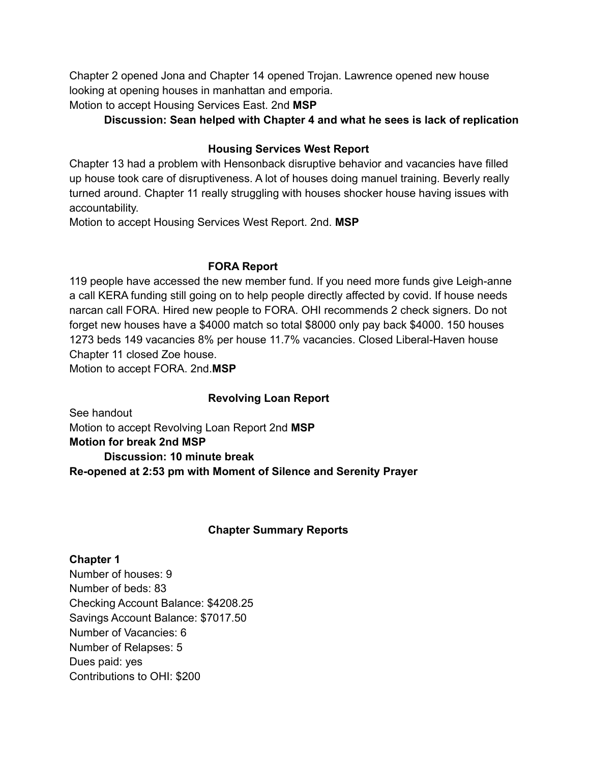Chapter 2 opened Jona and Chapter 14 opened Trojan. Lawrence opened new house looking at opening houses in manhattan and emporia.

Motion to accept Housing Services East. 2nd **MSP**

## **Discussion: Sean helped with Chapter 4 and what he sees is lack of replication**

## **Housing Services West Report**

Chapter 13 had a problem with Hensonback disruptive behavior and vacancies have filled up house took care of disruptiveness. A lot of houses doing manuel training. Beverly really turned around. Chapter 11 really struggling with houses shocker house having issues with accountability.

Motion to accept Housing Services West Report. 2nd. **MSP**

## **FORA Report**

119 people have accessed the new member fund. If you need more funds give Leigh-anne a call KERA funding still going on to help people directly affected by covid. If house needs narcan call FORA. Hired new people to FORA. OHI recommends 2 check signers. Do not forget new houses have a \$4000 match so total \$8000 only pay back \$4000. 150 houses 1273 beds 149 vacancies 8% per house 11.7% vacancies. Closed Liberal-Haven house Chapter 11 closed Zoe house.

Motion to accept FORA. 2nd.**MSP**

## **Revolving Loan Report**

See handout Motion to accept Revolving Loan Report 2nd **MSP Motion for break 2nd MSP Discussion: 10 minute break**

**Re-opened at 2:53 pm with Moment of Silence and Serenity Prayer**

## **Chapter Summary Reports**

## **Chapter 1**

Number of houses: 9 Number of beds: 83 Checking Account Balance: \$4208.25 Savings Account Balance: \$7017.50 Number of Vacancies: 6 Number of Relapses: 5 Dues paid: yes Contributions to OHI: \$200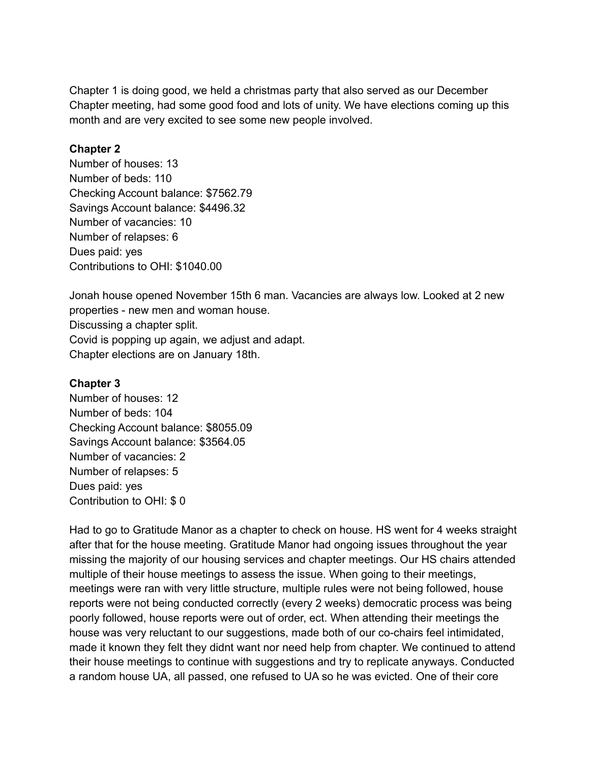Chapter 1 is doing good, we held a christmas party that also served as our December Chapter meeting, had some good food and lots of unity. We have elections coming up this month and are very excited to see some new people involved.

#### **Chapter 2**

Number of houses: 13 Number of beds: 110 Checking Account balance: \$7562.79 Savings Account balance: \$4496.32 Number of vacancies: 10 Number of relapses: 6 Dues paid: yes Contributions to OHI: \$1040.00

Jonah house opened November 15th 6 man. Vacancies are always low. Looked at 2 new properties - new men and woman house. Discussing a chapter split. Covid is popping up again, we adjust and adapt. Chapter elections are on January 18th.

#### **Chapter 3**

Number of houses: 12 Number of beds: 104 Checking Account balance: \$8055.09 Savings Account balance: \$3564.05 Number of vacancies: 2 Number of relapses: 5 Dues paid: yes Contribution to OHI: \$ 0

Had to go to Gratitude Manor as a chapter to check on house. HS went for 4 weeks straight after that for the house meeting. Gratitude Manor had ongoing issues throughout the year missing the majority of our housing services and chapter meetings. Our HS chairs attended multiple of their house meetings to assess the issue. When going to their meetings, meetings were ran with very little structure, multiple rules were not being followed, house reports were not being conducted correctly (every 2 weeks) democratic process was being poorly followed, house reports were out of order, ect. When attending their meetings the house was very reluctant to our suggestions, made both of our co-chairs feel intimidated, made it known they felt they didnt want nor need help from chapter. We continued to attend their house meetings to continue with suggestions and try to replicate anyways. Conducted a random house UA, all passed, one refused to UA so he was evicted. One of their core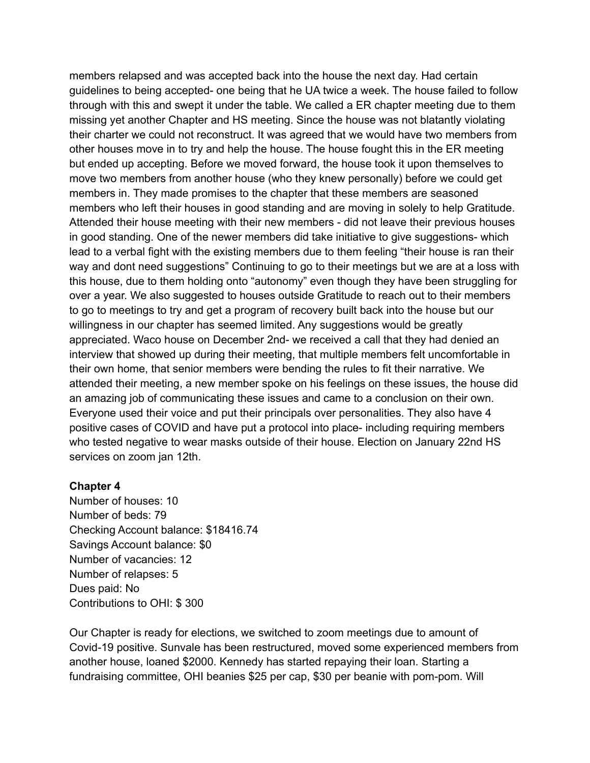members relapsed and was accepted back into the house the next day. Had certain guidelines to being accepted- one being that he UA twice a week. The house failed to follow through with this and swept it under the table. We called a ER chapter meeting due to them missing yet another Chapter and HS meeting. Since the house was not blatantly violating their charter we could not reconstruct. It was agreed that we would have two members from other houses move in to try and help the house. The house fought this in the ER meeting but ended up accepting. Before we moved forward, the house took it upon themselves to move two members from another house (who they knew personally) before we could get members in. They made promises to the chapter that these members are seasoned members who left their houses in good standing and are moving in solely to help Gratitude. Attended their house meeting with their new members - did not leave their previous houses in good standing. One of the newer members did take initiative to give suggestions- which lead to a verbal fight with the existing members due to them feeling "their house is ran their way and dont need suggestions" Continuing to go to their meetings but we are at a loss with this house, due to them holding onto "autonomy" even though they have been struggling for over a year. We also suggested to houses outside Gratitude to reach out to their members to go to meetings to try and get a program of recovery built back into the house but our willingness in our chapter has seemed limited. Any suggestions would be greatly appreciated. Waco house on December 2nd- we received a call that they had denied an interview that showed up during their meeting, that multiple members felt uncomfortable in their own home, that senior members were bending the rules to fit their narrative. We attended their meeting, a new member spoke on his feelings on these issues, the house did an amazing job of communicating these issues and came to a conclusion on their own. Everyone used their voice and put their principals over personalities. They also have 4 positive cases of COVID and have put a protocol into place- including requiring members who tested negative to wear masks outside of their house. Election on January 22nd HS services on zoom jan 12th.

#### **Chapter 4**

Number of houses: 10 Number of beds: 79 Checking Account balance: \$18416.74 Savings Account balance: \$0 Number of vacancies: 12 Number of relapses: 5 Dues paid: No Contributions to OHI: \$ 300

Our Chapter is ready for elections, we switched to zoom meetings due to amount of Covid-19 positive. Sunvale has been restructured, moved some experienced members from another house, loaned \$2000. Kennedy has started repaying their loan. Starting a fundraising committee, OHI beanies \$25 per cap, \$30 per beanie with pom-pom. Will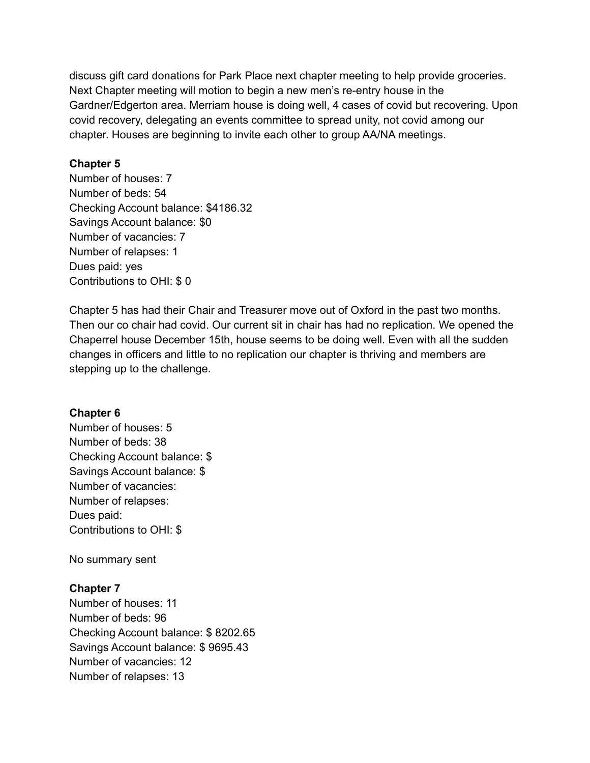discuss gift card donations for Park Place next chapter meeting to help provide groceries. Next Chapter meeting will motion to begin a new men's re-entry house in the Gardner/Edgerton area. Merriam house is doing well, 4 cases of covid but recovering. Upon covid recovery, delegating an events committee to spread unity, not covid among our chapter. Houses are beginning to invite each other to group AA/NA meetings.

## **Chapter 5**

Number of houses: 7 Number of beds: 54 Checking Account balance: \$4186.32 Savings Account balance: \$0 Number of vacancies: 7 Number of relapses: 1 Dues paid: yes Contributions to OHI: \$ 0

Chapter 5 has had their Chair and Treasurer move out of Oxford in the past two months. Then our co chair had covid. Our current sit in chair has had no replication. We opened the Chaperrel house December 15th, house seems to be doing well. Even with all the sudden changes in officers and little to no replication our chapter is thriving and members are stepping up to the challenge.

## **Chapter 6**

Number of houses: 5 Number of beds: 38 Checking Account balance: \$ Savings Account balance: \$ Number of vacancies: Number of relapses: Dues paid: Contributions to OHI: \$

No summary sent

## **Chapter 7**

Number of houses: 11 Number of beds: 96 Checking Account balance: \$ 8202.65 Savings Account balance: \$ 9695.43 Number of vacancies: 12 Number of relapses: 13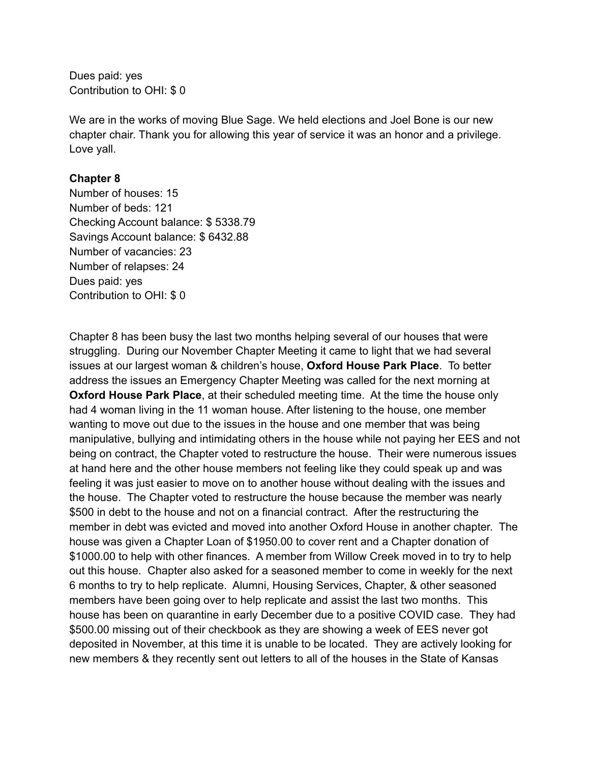Dues paid: yes Contribution to OHI: \$ 0

We are in the works of moving Blue Sage. We held elections and Joel Bone is our new chapter chair. Thank you for allowing this year of service it was an honor and a privilege. Love yall.

## **Chapter 8**

Number of houses: 15 Number of beds: 121 Checking Account balance: \$ 5338.79 Savings Account balance: \$ 6432.88 Number of vacancies: 23 Number of relapses: 24 Dues paid: yes Contribution to OHI: \$ 0

Chapter 8 has been busy the last two months helping several of our houses that were struggling. During our November Chapter Meeting it came to light that we had several issues at our largest woman & children's house, **Oxford House Park Place**. To better address the issues an Emergency Chapter Meeting was called for the next morning at **Oxford House Park Place**, at their scheduled meeting time. At the time the house only had 4 woman living in the 11 woman house. After listening to the house, one member wanting to move out due to the issues in the house and one member that was being manipulative, bullying and intimidating others in the house while not paying her EES and not being on contract, the Chapter voted to restructure the house. Their were numerous issues at hand here and the other house members not feeling like they could speak up and was feeling it was just easier to move on to another house without dealing with the issues and the house. The Chapter voted to restructure the house because the member was nearly \$500 in debt to the house and not on a financial contract. After the restructuring the member in debt was evicted and moved into another Oxford House in another chapter. The house was given a Chapter Loan of \$1950.00 to cover rent and a Chapter donation of \$1000.00 to help with other finances. A member from Willow Creek moved in to try to help out this house. Chapter also asked for a seasoned member to come in weekly for the next 6 months to try to help replicate. Alumni, Housing Services, Chapter, & other seasoned members have been going over to help replicate and assist the last two months. This house has been on quarantine in early December due to a positive COVID case. They had \$500.00 missing out of their checkbook as they are showing a week of EES never got deposited in November, at this time it is unable to be located. They are actively looking for new members & they recently sent out letters to all of the houses in the State of Kansas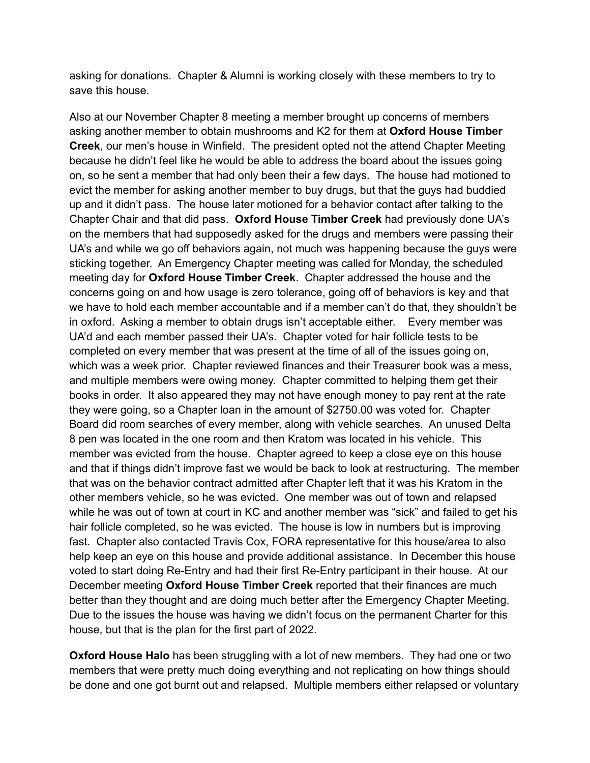asking for donations. Chapter & Alumni is working closely with these members to try to save this house.

Also at our November Chapter 8 meeting a member brought up concerns of members asking another member to obtain mushrooms and K2 for them at **Oxford House Timber Creek**, our men's house in Winfield. The president opted not the attend Chapter Meeting because he didn't feel like he would be able to address the board about the issues going on, so he sent a member that had only been their a few days. The house had motioned to evict the member for asking another member to buy drugs, but that the guys had buddied up and it didn't pass. The house later motioned for a behavior contact after talking to the Chapter Chair and that did pass. **Oxford House Timber Creek** had previously done UA's on the members that had supposedly asked for the drugs and members were passing their UA's and while we go off behaviors again, not much was happening because the guys were sticking together. An Emergency Chapter meeting was called for Monday, the scheduled meeting day for **Oxford House Timber Creek**. Chapter addressed the house and the concerns going on and how usage is zero tolerance, going off of behaviors is key and that we have to hold each member accountable and if a member can't do that, they shouldn't be in oxford. Asking a member to obtain drugs isn't acceptable either. Every member was UA'd and each member passed their UA's. Chapter voted for hair follicle tests to be completed on every member that was present at the time of all of the issues going on, which was a week prior. Chapter reviewed finances and their Treasurer book was a mess, and multiple members were owing money. Chapter committed to helping them get their books in order. It also appeared they may not have enough money to pay rent at the rate they were going, so a Chapter loan in the amount of \$2750.00 was voted for. Chapter Board did room searches of every member, along with vehicle searches. An unused Delta 8 pen was located in the one room and then Kratom was located in his vehicle. This member was evicted from the house. Chapter agreed to keep a close eye on this house and that if things didn't improve fast we would be back to look at restructuring. The member that was on the behavior contract admitted after Chapter left that it was his Kratom in the other members vehicle, so he was evicted. One member was out of town and relapsed while he was out of town at court in KC and another member was "sick" and failed to get his hair follicle completed, so he was evicted. The house is low in numbers but is improving fast. Chapter also contacted Travis Cox, FORA representative for this house/area to also help keep an eye on this house and provide additional assistance. In December this house voted to start doing Re-Entry and had their first Re-Entry participant in their house. At our December meeting **Oxford House Timber Creek** reported that their finances are much better than they thought and are doing much better after the Emergency Chapter Meeting. Due to the issues the house was having we didn't focus on the permanent Charter for this house, but that is the plan for the first part of 2022.

**Oxford House Halo** has been struggling with a lot of new members. They had one or two members that were pretty much doing everything and not replicating on how things should be done and one got burnt out and relapsed. Multiple members either relapsed or voluntary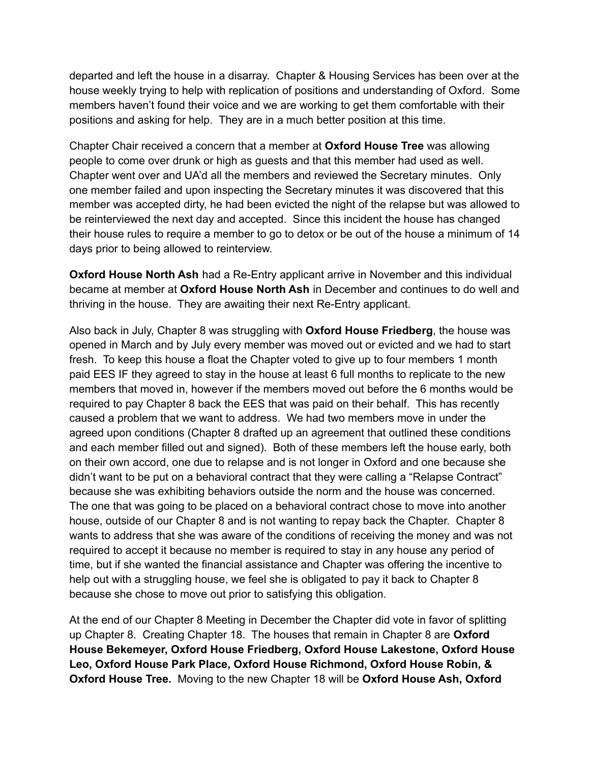departed and left the house in a disarray. Chapter & Housing Services has been over at the house weekly trying to help with replication of positions and understanding of Oxford. Some members haven't found their voice and we are working to get them comfortable with their positions and asking for help. They are in a much better position at this time.

Chapter Chair received a concern that a member at **Oxford House Tree** was allowing people to come over drunk or high as guests and that this member had used as well. Chapter went over and UA'd all the members and reviewed the Secretary minutes. Only one member failed and upon inspecting the Secretary minutes it was discovered that this member was accepted dirty, he had been evicted the night of the relapse but was allowed to be reinterviewed the next day and accepted. Since this incident the house has changed their house rules to require a member to go to detox or be out of the house a minimum of 14 days prior to being allowed to reinterview.

**Oxford House North Ash** had a Re-Entry applicant arrive in November and this individual became at member at **Oxford House North Ash** in December and continues to do well and thriving in the house. They are awaiting their next Re-Entry applicant.

Also back in July, Chapter 8 was struggling with **Oxford House Friedberg**, the house was opened in March and by July every member was moved out or evicted and we had to start fresh. To keep this house a float the Chapter voted to give up to four members 1 month paid EES IF they agreed to stay in the house at least 6 full months to replicate to the new members that moved in, however if the members moved out before the 6 months would be required to pay Chapter 8 back the EES that was paid on their behalf. This has recently caused a problem that we want to address. We had two members move in under the agreed upon conditions (Chapter 8 drafted up an agreement that outlined these conditions and each member filled out and signed). Both of these members left the house early, both on their own accord, one due to relapse and is not longer in Oxford and one because she didn't want to be put on a behavioral contract that they were calling a "Relapse Contract" because she was exhibiting behaviors outside the norm and the house was concerned. The one that was going to be placed on a behavioral contract chose to move into another house, outside of our Chapter 8 and is not wanting to repay back the Chapter. Chapter 8 wants to address that she was aware of the conditions of receiving the money and was not required to accept it because no member is required to stay in any house any period of time, but if she wanted the financial assistance and Chapter was offering the incentive to help out with a struggling house, we feel she is obligated to pay it back to Chapter 8 because she chose to move out prior to satisfying this obligation.

At the end of our Chapter 8 Meeting in December the Chapter did vote in favor of splitting up Chapter 8. Creating Chapter 18. The houses that remain in Chapter 8 are **Oxford House Bekemeyer, Oxford House Friedberg, Oxford House Lakestone, Oxford House Leo, Oxford House Park Place, Oxford House Richmond, Oxford House Robin, & Oxford House Tree.** Moving to the new Chapter 18 will be **Oxford House Ash, Oxford**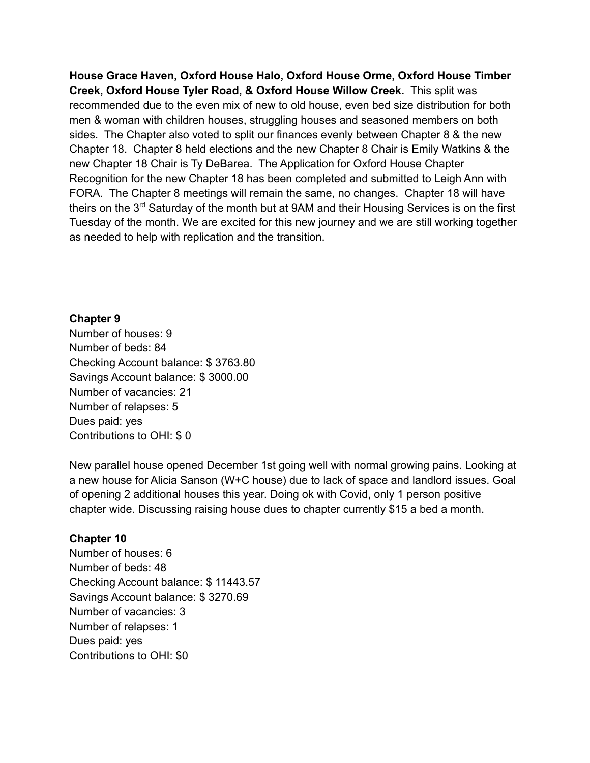**House Grace Haven, Oxford House Halo, Oxford House Orme, Oxford House Timber Creek, Oxford House Tyler Road, & Oxford House Willow Creek.** This split was recommended due to the even mix of new to old house, even bed size distribution for both men & woman with children houses, struggling houses and seasoned members on both sides. The Chapter also voted to split our finances evenly between Chapter 8 & the new Chapter 18. Chapter 8 held elections and the new Chapter 8 Chair is Emily Watkins & the new Chapter 18 Chair is Ty DeBarea. The Application for Oxford House Chapter Recognition for the new Chapter 18 has been completed and submitted to Leigh Ann with FORA. The Chapter 8 meetings will remain the same, no changes. Chapter 18 will have theirs on the 3<sup>rd</sup> Saturday of the month but at 9AM and their Housing Services is on the first Tuesday of the month. We are excited for this new journey and we are still working together as needed to help with replication and the transition.

#### **Chapter 9**

Number of houses: 9 Number of beds: 84 Checking Account balance: \$ 3763.80 Savings Account balance: \$ 3000.00 Number of vacancies: 21 Number of relapses: 5 Dues paid: yes Contributions to OHI: \$ 0

New parallel house opened December 1st going well with normal growing pains. Looking at a new house for Alicia Sanson (W+C house) due to lack of space and landlord issues. Goal of opening 2 additional houses this year. Doing ok with Covid, only 1 person positive chapter wide. Discussing raising house dues to chapter currently \$15 a bed a month.

#### **Chapter 10**

Number of houses: 6 Number of beds: 48 Checking Account balance: \$ 11443.57 Savings Account balance: \$ 3270.69 Number of vacancies: 3 Number of relapses: 1 Dues paid: yes Contributions to OHI: \$0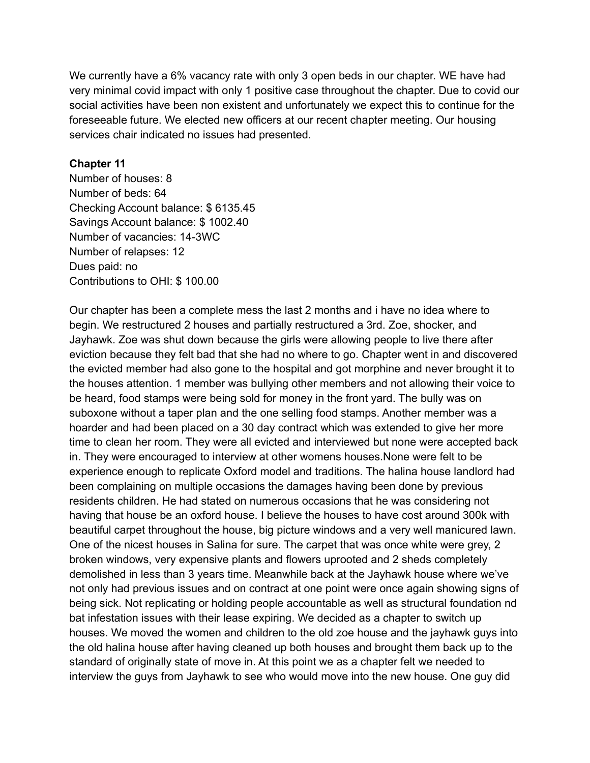We currently have a 6% vacancy rate with only 3 open beds in our chapter. WE have had very minimal covid impact with only 1 positive case throughout the chapter. Due to covid our social activities have been non existent and unfortunately we expect this to continue for the foreseeable future. We elected new officers at our recent chapter meeting. Our housing services chair indicated no issues had presented.

#### **Chapter 11**

Number of houses: 8 Number of beds: 64 Checking Account balance: \$ 6135.45 Savings Account balance: \$ 1002.40 Number of vacancies: 14-3WC Number of relapses: 12 Dues paid: no Contributions to OHI: \$ 100.00

Our chapter has been a complete mess the last 2 months and i have no idea where to begin. We restructured 2 houses and partially restructured a 3rd. Zoe, shocker, and Jayhawk. Zoe was shut down because the girls were allowing people to live there after eviction because they felt bad that she had no where to go. Chapter went in and discovered the evicted member had also gone to the hospital and got morphine and never brought it to the houses attention. 1 member was bullying other members and not allowing their voice to be heard, food stamps were being sold for money in the front yard. The bully was on suboxone without a taper plan and the one selling food stamps. Another member was a hoarder and had been placed on a 30 day contract which was extended to give her more time to clean her room. They were all evicted and interviewed but none were accepted back in. They were encouraged to interview at other womens houses.None were felt to be experience enough to replicate Oxford model and traditions. The halina house landlord had been complaining on multiple occasions the damages having been done by previous residents children. He had stated on numerous occasions that he was considering not having that house be an oxford house. I believe the houses to have cost around 300k with beautiful carpet throughout the house, big picture windows and a very well manicured lawn. One of the nicest houses in Salina for sure. The carpet that was once white were grey, 2 broken windows, very expensive plants and flowers uprooted and 2 sheds completely demolished in less than 3 years time. Meanwhile back at the Jayhawk house where we've not only had previous issues and on contract at one point were once again showing signs of being sick. Not replicating or holding people accountable as well as structural foundation nd bat infestation issues with their lease expiring. We decided as a chapter to switch up houses. We moved the women and children to the old zoe house and the jayhawk guys into the old halina house after having cleaned up both houses and brought them back up to the standard of originally state of move in. At this point we as a chapter felt we needed to interview the guys from Jayhawk to see who would move into the new house. One guy did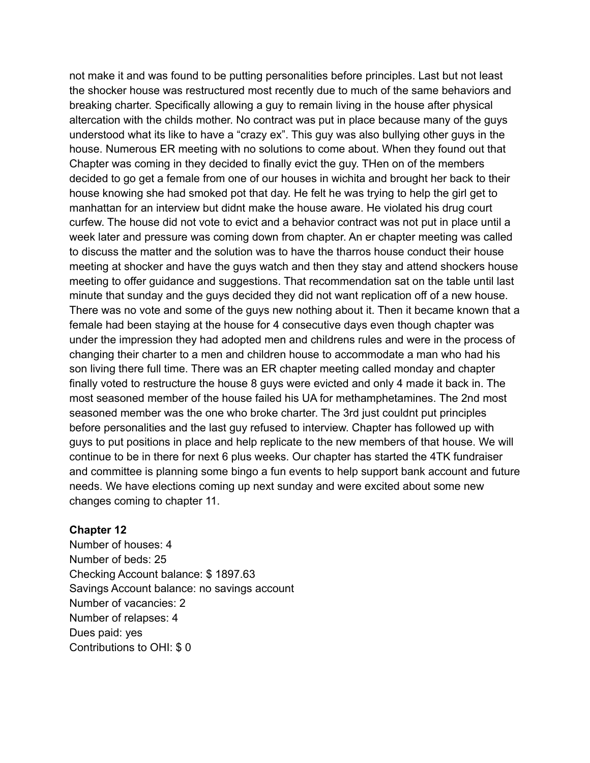not make it and was found to be putting personalities before principles. Last but not least the shocker house was restructured most recently due to much of the same behaviors and breaking charter. Specifically allowing a guy to remain living in the house after physical altercation with the childs mother. No contract was put in place because many of the guys understood what its like to have a "crazy ex". This guy was also bullying other guys in the house. Numerous ER meeting with no solutions to come about. When they found out that Chapter was coming in they decided to finally evict the guy. THen on of the members decided to go get a female from one of our houses in wichita and brought her back to their house knowing she had smoked pot that day. He felt he was trying to help the girl get to manhattan for an interview but didnt make the house aware. He violated his drug court curfew. The house did not vote to evict and a behavior contract was not put in place until a week later and pressure was coming down from chapter. An er chapter meeting was called to discuss the matter and the solution was to have the tharros house conduct their house meeting at shocker and have the guys watch and then they stay and attend shockers house meeting to offer guidance and suggestions. That recommendation sat on the table until last minute that sunday and the guys decided they did not want replication off of a new house. There was no vote and some of the guys new nothing about it. Then it became known that a female had been staying at the house for 4 consecutive days even though chapter was under the impression they had adopted men and childrens rules and were in the process of changing their charter to a men and children house to accommodate a man who had his son living there full time. There was an ER chapter meeting called monday and chapter finally voted to restructure the house 8 guys were evicted and only 4 made it back in. The most seasoned member of the house failed his UA for methamphetamines. The 2nd most seasoned member was the one who broke charter. The 3rd just couldnt put principles before personalities and the last guy refused to interview. Chapter has followed up with guys to put positions in place and help replicate to the new members of that house. We will continue to be in there for next 6 plus weeks. Our chapter has started the 4TK fundraiser and committee is planning some bingo a fun events to help support bank account and future needs. We have elections coming up next sunday and were excited about some new changes coming to chapter 11.

#### **Chapter 12**

Number of houses: 4 Number of beds: 25 Checking Account balance: \$ 1897.63 Savings Account balance: no savings account Number of vacancies: 2 Number of relapses: 4 Dues paid: yes Contributions to OHI: \$ 0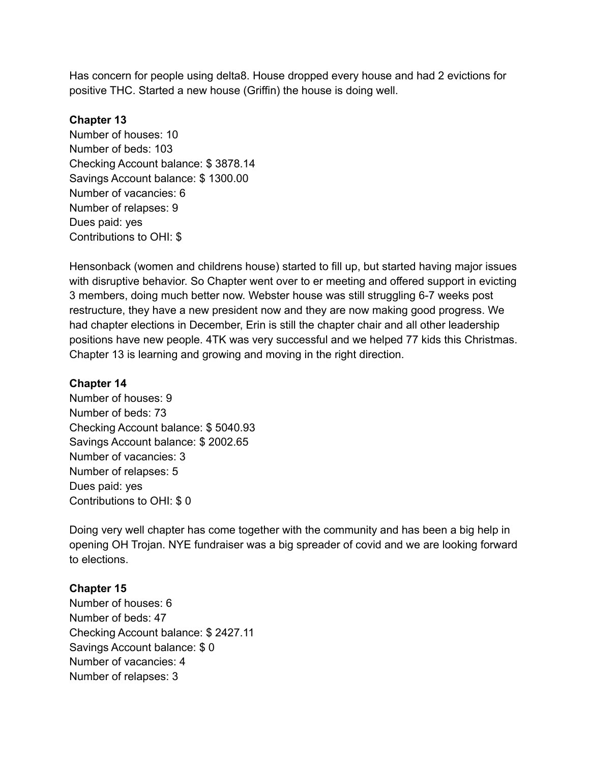Has concern for people using delta8. House dropped every house and had 2 evictions for positive THC. Started a new house (Griffin) the house is doing well.

### **Chapter 13**

Number of houses: 10 Number of beds: 103 Checking Account balance: \$ 3878.14 Savings Account balance: \$ 1300.00 Number of vacancies: 6 Number of relapses: 9 Dues paid: yes Contributions to OHI: \$

Hensonback (women and childrens house) started to fill up, but started having major issues with disruptive behavior. So Chapter went over to er meeting and offered support in evicting 3 members, doing much better now. Webster house was still struggling 6-7 weeks post restructure, they have a new president now and they are now making good progress. We had chapter elections in December, Erin is still the chapter chair and all other leadership positions have new people. 4TK was very successful and we helped 77 kids this Christmas. Chapter 13 is learning and growing and moving in the right direction.

#### **Chapter 14**

Number of houses: 9 Number of beds: 73 Checking Account balance: \$ 5040.93 Savings Account balance: \$ 2002.65 Number of vacancies: 3 Number of relapses: 5 Dues paid: yes Contributions to OHI: \$ 0

Doing very well chapter has come together with the community and has been a big help in opening OH Trojan. NYE fundraiser was a big spreader of covid and we are looking forward to elections.

## **Chapter 15**

Number of houses: 6 Number of beds: 47 Checking Account balance: \$ 2427.11 Savings Account balance: \$ 0 Number of vacancies: 4 Number of relapses: 3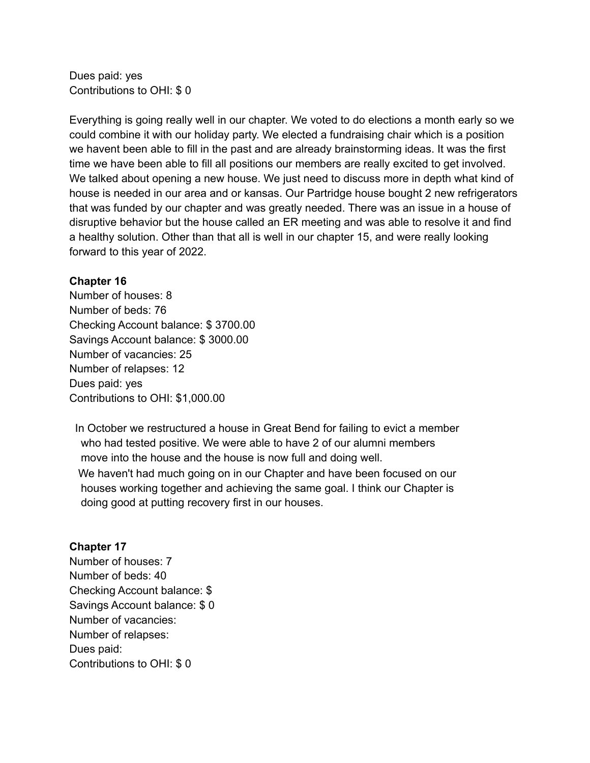Dues paid: yes Contributions to OHI: \$ 0

Everything is going really well in our chapter. We voted to do elections a month early so we could combine it with our holiday party. We elected a fundraising chair which is a position we havent been able to fill in the past and are already brainstorming ideas. It was the first time we have been able to fill all positions our members are really excited to get involved. We talked about opening a new house. We just need to discuss more in depth what kind of house is needed in our area and or kansas. Our Partridge house bought 2 new refrigerators that was funded by our chapter and was greatly needed. There was an issue in a house of disruptive behavior but the house called an ER meeting and was able to resolve it and find a healthy solution. Other than that all is well in our chapter 15, and were really looking forward to this year of 2022.

#### **Chapter 16**

Number of houses: 8 Number of beds: 76 Checking Account balance: \$ 3700.00 Savings Account balance: \$ 3000.00 Number of vacancies: 25 Number of relapses: 12 Dues paid: yes Contributions to OHI: \$1,000.00

In October we restructured a house in Great Bend for failing to evict a member who had tested positive. We were able to have 2 of our alumni members move into the house and the house is now full and doing well. We haven't had much going on in our Chapter and have been focused on our houses working together and achieving the same goal. I think our Chapter is

doing good at putting recovery first in our houses.

## **Chapter 17**

Number of houses: 7 Number of beds: 40 Checking Account balance: \$ Savings Account balance: \$ 0 Number of vacancies: Number of relapses: Dues paid: Contributions to OHI: \$ 0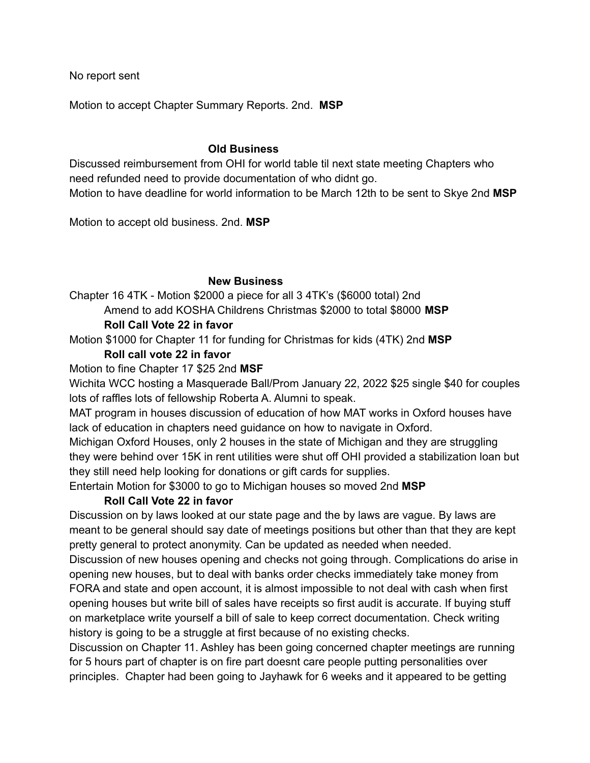No report sent

Motion to accept Chapter Summary Reports. 2nd. **MSP**

#### **Old Business**

Discussed reimbursement from OHI for world table til next state meeting Chapters who need refunded need to provide documentation of who didnt go. Motion to have deadline for world information to be March 12th to be sent to Skye 2nd **MSP**

Motion to accept old business. 2nd. **MSP**

## **New Business**

Chapter 16 4TK - Motion \$2000 a piece for all 3 4TK's (\$6000 total) 2nd Amend to add KOSHA Childrens Christmas \$2000 to total \$8000 **MSP**

### **Roll Call Vote 22 in favor**

Motion \$1000 for Chapter 11 for funding for Christmas for kids (4TK) 2nd **MSP**

## **Roll call vote 22 in favor**

Motion to fine Chapter 17 \$25 2nd **MSF**

Wichita WCC hosting a Masquerade Ball/Prom January 22, 2022 \$25 single \$40 for couples lots of raffles lots of fellowship Roberta A. Alumni to speak.

MAT program in houses discussion of education of how MAT works in Oxford houses have lack of education in chapters need guidance on how to navigate in Oxford.

Michigan Oxford Houses, only 2 houses in the state of Michigan and they are struggling they were behind over 15K in rent utilities were shut off OHI provided a stabilization loan but they still need help looking for donations or gift cards for supplies.

Entertain Motion for \$3000 to go to Michigan houses so moved 2nd **MSP**

## **Roll Call Vote 22 in favor**

Discussion on by laws looked at our state page and the by laws are vague. By laws are meant to be general should say date of meetings positions but other than that they are kept pretty general to protect anonymity. Can be updated as needed when needed.

Discussion of new houses opening and checks not going through. Complications do arise in opening new houses, but to deal with banks order checks immediately take money from FORA and state and open account, it is almost impossible to not deal with cash when first opening houses but write bill of sales have receipts so first audit is accurate. If buying stuff on marketplace write yourself a bill of sale to keep correct documentation. Check writing history is going to be a struggle at first because of no existing checks.

Discussion on Chapter 11. Ashley has been going concerned chapter meetings are running for 5 hours part of chapter is on fire part doesnt care people putting personalities over principles. Chapter had been going to Jayhawk for 6 weeks and it appeared to be getting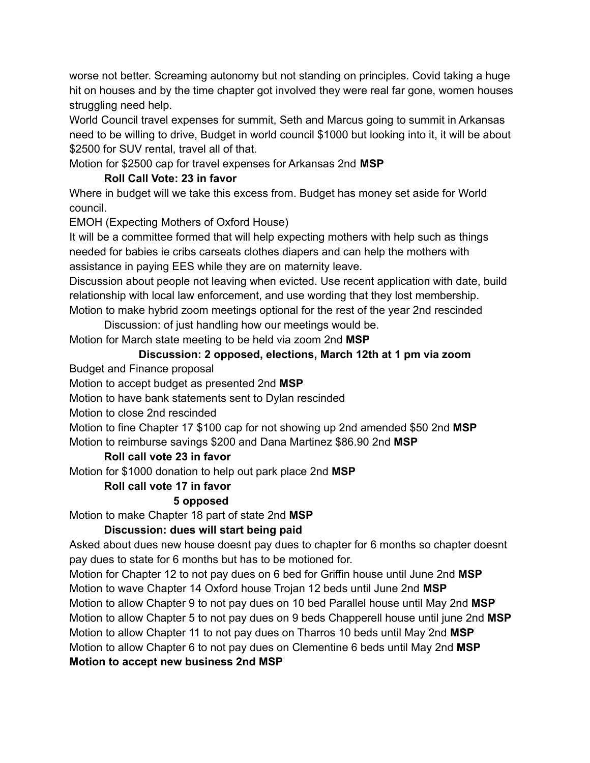worse not better. Screaming autonomy but not standing on principles. Covid taking a huge hit on houses and by the time chapter got involved they were real far gone, women houses struggling need help.

World Council travel expenses for summit, Seth and Marcus going to summit in Arkansas need to be willing to drive, Budget in world council \$1000 but looking into it, it will be about \$2500 for SUV rental, travel all of that.

Motion for \$2500 cap for travel expenses for Arkansas 2nd **MSP**

# **Roll Call Vote: 23 in favor**

Where in budget will we take this excess from. Budget has money set aside for World council.

EMOH (Expecting Mothers of Oxford House)

It will be a committee formed that will help expecting mothers with help such as things needed for babies ie cribs carseats clothes diapers and can help the mothers with assistance in paying EES while they are on maternity leave.

Discussion about people not leaving when evicted. Use recent application with date, build relationship with local law enforcement, and use wording that they lost membership. Motion to make hybrid zoom meetings optional for the rest of the year 2nd rescinded

Discussion: of just handling how our meetings would be. Motion for March state meeting to be held via zoom 2nd **MSP**

# **Discussion: 2 opposed, elections, March 12th at 1 pm via zoom**

Budget and Finance proposal

Motion to accept budget as presented 2nd **MSP**

Motion to have bank statements sent to Dylan rescinded

Motion to close 2nd rescinded

Motion to fine Chapter 17 \$100 cap for not showing up 2nd amended \$50 2nd **MSP** Motion to reimburse savings \$200 and Dana Martinez \$86.90 2nd **MSP**

# **Roll call vote 23 in favor**

Motion for \$1000 donation to help out park place 2nd **MSP**

## **Roll call vote 17 in favor**

## **5 opposed**

Motion to make Chapter 18 part of state 2nd **MSP**

## **Discussion: dues will start being paid**

Asked about dues new house doesnt pay dues to chapter for 6 months so chapter doesnt pay dues to state for 6 months but has to be motioned for.

Motion for Chapter 12 to not pay dues on 6 bed for Griffin house until June 2nd **MSP** Motion to wave Chapter 14 Oxford house Trojan 12 beds until June 2nd **MSP** Motion to allow Chapter 9 to not pay dues on 10 bed Parallel house until May 2nd **MSP** Motion to allow Chapter 5 to not pay dues on 9 beds Chapperell house until june 2nd **MSP** Motion to allow Chapter 11 to not pay dues on Tharros 10 beds until May 2nd **MSP** Motion to allow Chapter 6 to not pay dues on Clementine 6 beds until May 2nd **MSP Motion to accept new business 2nd MSP**